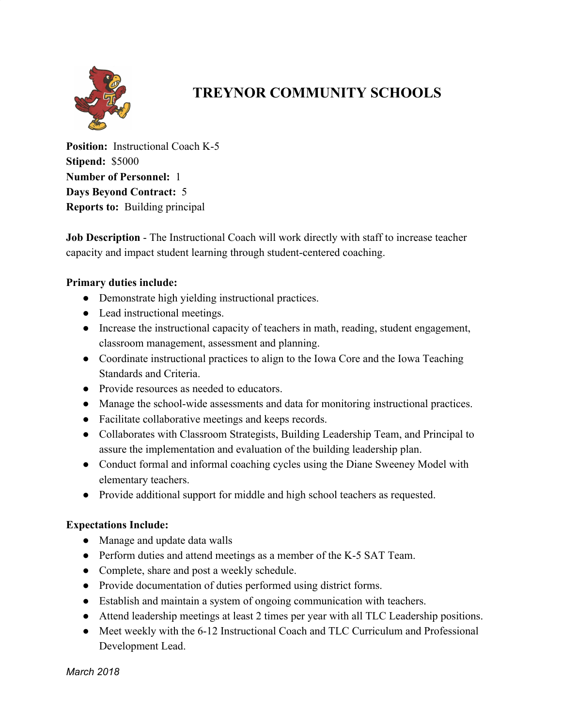

## **TREYNOR COMMUNITY SCHOOLS**

**Position:** Instructional Coach K-5 **Stipend:** \$5000 **Number of Personnel:** 1 **Days Beyond Contract:** 5 **Reports to:** Building principal

**Job Description** - The Instructional Coach will work directly with staff to increase teacher capacity and impact student learning through student-centered coaching.

## **Primary duties include:**

- Demonstrate high yielding instructional practices.
- Lead instructional meetings.
- Increase the instructional capacity of teachers in math, reading, student engagement, classroom management, assessment and planning.
- Coordinate instructional practices to align to the Iowa Core and the Iowa Teaching Standards and Criteria.
- Provide resources as needed to educators.
- Manage the school-wide assessments and data for monitoring instructional practices.
- Facilitate collaborative meetings and keeps records.
- Collaborates with Classroom Strategists, Building Leadership Team, and Principal to assure the implementation and evaluation of the building leadership plan.
- Conduct formal and informal coaching cycles using the Diane Sweeney Model with elementary teachers.
- Provide additional support for middle and high school teachers as requested.

## **Expectations Include:**

- Manage and update data walls
- Perform duties and attend meetings as a member of the K-5 SAT Team.
- Complete, share and post a weekly schedule.
- Provide documentation of duties performed using district forms.
- Establish and maintain a system of ongoing communication with teachers.
- Attend leadership meetings at least 2 times per year with all TLC Leadership positions.
- Meet weekly with the 6-12 Instructional Coach and TLC Curriculum and Professional Development Lead.